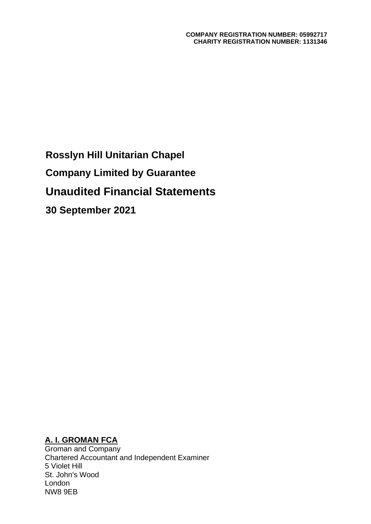**Rosslyn Hill Unitarian Chapel Company Limited by Guarantee Unaudited Financial Statements 30 September 2021**

## **A. I. GROMAN FCA**

Groman and Company Chartered Accountant and Independent Examiner 5 Violet Hill St. John's Wood London NW8 9EB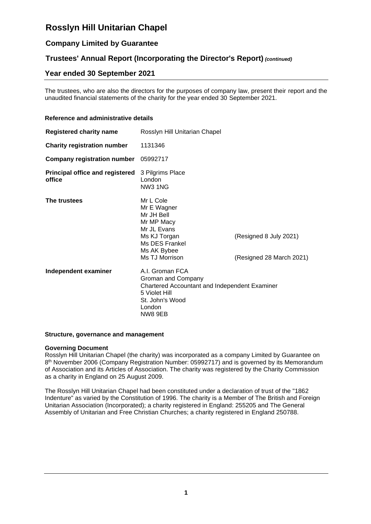## **Company Limited by Guarantee**

## **Trustees' Annual Report (Incorporating the Director's Report)** *(continued)*

## **Year ended 30 September 2021**

The trustees, who are also the directors for the purposes of company law, present their report and the unaudited financial statements of the charity for the year ended 30 September 2021.

#### **Reference and administrative details**

| <b>Registered charity name</b>                   | Rosslyn Hill Unitarian Chapel                                                                                                                   |                                                    |  |  |
|--------------------------------------------------|-------------------------------------------------------------------------------------------------------------------------------------------------|----------------------------------------------------|--|--|
| <b>Charity registration number</b>               | 1131346                                                                                                                                         |                                                    |  |  |
| <b>Company registration number</b>               | 05992717                                                                                                                                        |                                                    |  |  |
| <b>Principal office and registered</b><br>office | 3 Pilgrims Place<br>London<br><b>NW3 1NG</b>                                                                                                    |                                                    |  |  |
| The trustees                                     | Mr L Cole<br>Mr E Wagner<br>Mr JH Bell<br>Mr MP Macy<br>Mr JL Evans<br>Ms KJ Torgan<br>Ms DES Frankel<br>Ms AK Bybee<br>Ms TJ Morrison          | (Resigned 8 July 2021)<br>(Resigned 28 March 2021) |  |  |
| Independent examiner                             | A.I. Groman FCA<br>Groman and Company<br>Chartered Accountant and Independent Examiner<br>5 Violet Hill<br>St. John's Wood<br>London<br>NW8 9EB |                                                    |  |  |

#### **Structure, governance and management**

#### **Governing Document**

Rosslyn Hill Unitarian Chapel (the charity) was incorporated as a company Limited by Guarantee on 8<sup>th</sup> November 2006 (Company Registration Number: 05992717) and is governed by its Memorandum of Association and its Articles of Association. The charity was registered by the Charity Commission as a charity in England on 25 August 2009.

The Rosslyn Hill Unitarian Chapel had been constituted under a declaration of trust of the "1862 Indenture" as varied by the Constitution of 1996. The charity is a Member of The British and Foreign Unitarian Association (Incorporated); a charity registered in England: 255205 and The General Assembly of Unitarian and Free Christian Churches; a charity registered in England 250788.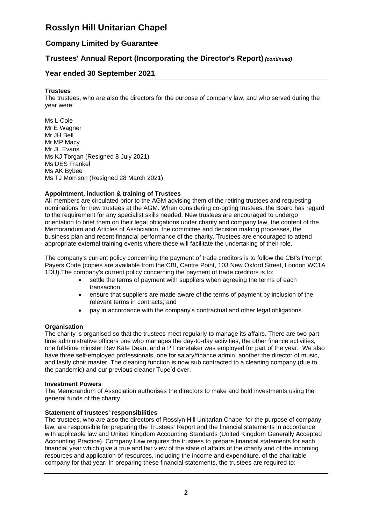## **Company Limited by Guarantee**

## **Trustees' Annual Report (Incorporating the Director's Report)** *(continued)*

### **Year ended 30 September 2021**

#### **Trustees**

The trustees, who are also the directors for the purpose of company law, and who served during the year were:

Ms L Cole Mr E Wagner Mr JH Bell Mr MP Macy Mr JL Evans Ms KJ Torgan (Resigned 8 July 2021) Ms DES Frankel Ms AK Bybee Ms TJ Morrison (Resigned 28 March 2021)

#### **Appointment, induction & training of Trustees**

All members are circulated prior to the AGM advising them of the retiring trustees and requesting nominations for new trustees at the AGM. When considering co-opting trustees, the Board has regard to the requirement for any specialist skills needed. New trustees are encouraged to undergo orientation to brief them on their legal obligations under charity and company law, the content of the Memorandum and Articles of Association, the committee and decision making processes, the business plan and recent financial performance of the charity. Trustees are encouraged to attend appropriate external training events where these will facilitate the undertaking of their role.

The company's current policy concerning the payment of trade creditors is to follow the CBI's Prompt Payers Code (copies are available from the CBI, Centre Point, 103 New Oxford Street, London WC1A 1DU).The company's current policy concerning the payment of trade creditors is to:

- settle the terms of payment with suppliers when agreeing the terms of each transaction;
- ensure that suppliers are made aware of the terms of payment by inclusion of the relevant terms in contracts; and
- pay in accordance with the company's contractual and other legal obligations.

#### **Organisation**

The charity is organised so that the trustees meet regularly to manage its affairs. There are two part time administrative officers one who manages the day-to-day activities, the other finance activities, one full-time minister Rev Kate Dean, and a PT caretaker was employed for part of the year. We also have three self-employed professionals, one for salary/finance admin, another the director of music, and lastly choir master. The cleaning function is now sub contracted to a cleaning company (due to the pandemic) and our previous cleaner Tupe'd over.

#### **Investment Powers**

The Memorandum of Association authorises the directors to make and hold investments using the general funds of the charity.

#### **Statement of trustees' responsibilities**

The trustees, who are also the directors of Rosslyn Hill Unitarian Chapel for the purpose of company law, are responsible for preparing the Trustees' Report and the financial statements in accordance with applicable law and United Kingdom Accounting Standards (United Kingdom Generally Accepted Accounting Practice). Company Law requires the trustees to prepare financial statements for each financial year which give a true and fair view of the state of affairs of the charity and of the incoming resources and application of resources, including the income and expenditure, of the charitable company for that year. In preparing these financial statements, the trustees are required to: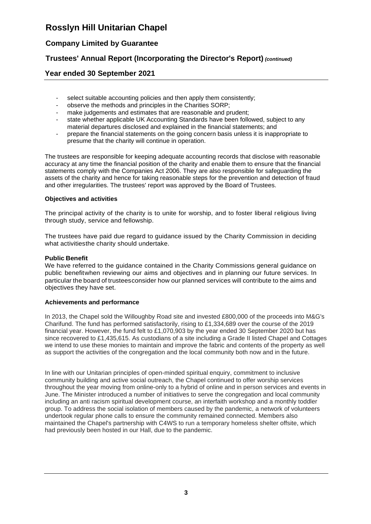## **Company Limited by Guarantee**

## **Trustees' Annual Report (Incorporating the Director's Report)** *(continued)*

### **Year ended 30 September 2021**

- select suitable accounting policies and then apply them consistently;
- observe the methods and principles in the Charities SORP;
- make judgements and estimates that are reasonable and prudent;
- state whether applicable UK Accounting Standards have been followed, subject to any material departures disclosed and explained in the financial statements; and
- prepare the financial statements on the going concern basis unless it is inappropriate to presume that the charity will continue in operation.

The trustees are responsible for keeping adequate accounting records that disclose with reasonable accuracy at any time the financial position of the charity and enable them to ensure that the financial statements comply with the Companies Act 2006. They are also responsible for safeguarding the assets of the charity and hence for taking reasonable steps for the prevention and detection of fraud and other irregularities. The trustees' report was approved by the Board of Trustees.

#### **Objectives and activities**

The principal activity of the charity is to unite for worship, and to foster liberal religious living through study, service and fellowship.

The trustees have paid due regard to guidance issued by the Charity Commission in deciding what activitiesthe charity should undertake.

#### **Public Benefit**

We have referred to the guidance contained in the Charity Commissions general guidance on public benefitwhen reviewing our aims and objectives and in planning our future services. In particular the board of trusteesconsider how our planned services will contribute to the aims and objectives they have set.

#### **Achievements and performance**

In 2013, the Chapel sold the Willoughby Road site and invested £800,000 of the proceeds into M&G's Charifund. The fund has performed satisfactorily, rising to £1,334,689 over the course of the 2019 financial year. However, the fund felt to £1,070,903 by the year ended 30 September 2020 but has since recovered to £1,435,615. As custodians of a site including a Grade II listed Chapel and Cottages we intend to use these monies to maintain and improve the fabric and contents of the property as well as support the activities of the congregation and the local community both now and in the future.

In line with our Unitarian principles of open-minded spiritual enquiry, commitment to inclusive community building and active social outreach, the Chapel continued to offer worship services throughout the year moving from online-only to a hybrid of online and in person services and events in June. The Minister introduced a number of initiatives to serve the congregation and local community including an anti racism spiritual development course, an interfaith workshop and a monthly toddler group. To address the social isolation of members caused by the pandemic, a network of volunteers undertook regular phone calls to ensure the community remained connected. Members also maintained the Chapel's partnership with C4WS to run a temporary homeless shelter offsite, which had previously been hosted in our Hall, due to the pandemic.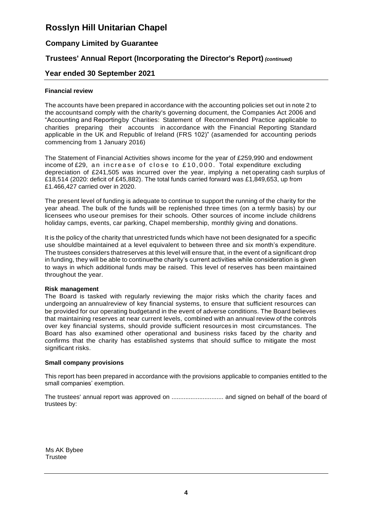## **Company Limited by Guarantee**

## **Trustees' Annual Report (Incorporating the Director's Report)** *(continued)*

### **Year ended 30 September 2021**

#### **Financial review**

The accounts have been prepared in accordance with the accounting policies set out in note 2 to the accountsand comply with the charity's governing document, the Companies Act 2006 and "Accounting and Reportingby Charities: Statement of Recommended Practice applicable to charities preparing their accounts in accordance with the Financial Reporting Standard applicable in the UK and Republic of Ireland (FRS 102)" (asamended for accounting periods commencing from 1 January 2016)

The Statement of Financial Activities shows income for the year of £259,990 and endowment income of £29, an increase of close to £10,000. Total expenditure excluding depreciation of £241,505 was incurred over the year, implying a net operating cash surplus of £18,514 (2020: deficit of £45,882). The total funds carried forward was £1,849,653, up from £1.466,427 carried over in 2020.

The present level of funding is adequate to continue to support the running of the charity for the year ahead. The bulk of the funds will be replenished three times (on a termly basis) by our licensees who use our premises for their schools. Other sources of income include childrens holiday camps, events, car parking, Chapel membership, monthly giving and donations.

It is the policy of the charity that unrestricted funds which have not been designated for a specific use shouldbe maintained at a level equivalent to between three and six month's expenditure. The trustees considers thatreserves at this level will ensure that, in the event of a significant drop in funding, they will be able to continuethe charity's current activities while consideration is given to ways in which additional funds may be raised. This level of reserves has been maintained throughout the year.

#### **Risk management**

The Board is tasked with regularly reviewing the major risks which the charity faces and undergoing an annualreview of key financial systems, to ensure that sufficient resources can be provided for our operating budgetand in the event of adverse conditions. The Board believes that maintaining reserves at near current levels, combined with an annual review of the controls over key financial systems, should provide sufficient resources in most circumstances. The Board has also examined other operational and business risks faced by the charity and confirms that the charity has established systems that should suffice to mitigate the most significant risks.

#### **Small company provisions**

This report has been prepared in accordance with the provisions applicable to companies entitled to the small companies' exemption.

The trustees' annual report was approved on .............................. and signed on behalf of the board of trustees by:

Ms AK Bybee **Trustee**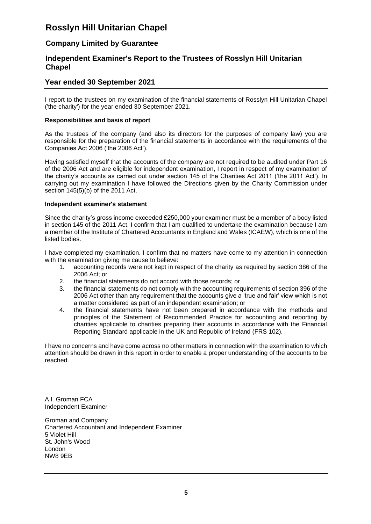## **Company Limited by Guarantee**

### **Independent Examiner's Report to the Trustees of Rosslyn Hill Unitarian Chapel**

### **Year ended 30 September 2021**

I report to the trustees on my examination of the financial statements of Rosslyn Hill Unitarian Chapel ('the charity') for the year ended 30 September 2021.

#### **Responsibilities and basis of report**

As the trustees of the company (and also its directors for the purposes of company law) you are responsible for the preparation of the financial statements in accordance with the requirements of the Companies Act 2006 ('the 2006 Act').

Having satisfied myself that the accounts of the company are not required to be audited under Part 16 of the 2006 Act and are eligible for independent examination, I report in respect of my examination of the charity's accounts as carried out under section 145 of the Charities Act 2011 ('the 2011 Act'). In carrying out my examination I have followed the Directions given by the Charity Commission under section 145(5)(b) of the 2011 Act.

#### **Independent examiner's statement**

Since the charity's gross income exceeded £250,000 your examiner must be a member of a body listed in section 145 of the 2011 Act. I confirm that I am qualified to undertake the examination because I am a member of the Institute of Chartered Accountants in England and Wales (ICAEW), which is one of the listed bodies.

I have completed my examination. I confirm that no matters have come to my attention in connection with the examination giving me cause to believe:

- 1. accounting records were not kept in respect of the charity as required by section 386 of the 2006 Act; or
- 2. the financial statements do not accord with those records; or
- 3. the financial statements do not comply with the accounting requirements of section 396 of the 2006 Act other than any requirement that the accounts give a 'true and fair' view which is not a matter considered as part of an independent examination; or
- 4. the financial statements have not been prepared in accordance with the methods and principles of the Statement of Recommended Practice for accounting and reporting by charities applicable to charities preparing their accounts in accordance with the Financial Reporting Standard applicable in the UK and Republic of Ireland (FRS 102).

I have no concerns and have come across no other matters in connection with the examination to which attention should be drawn in this report in order to enable a proper understanding of the accounts to be reached.

A.I. Groman FCA Independent Examiner

Groman and Company Chartered Accountant and Independent Examiner 5 Violet Hill St. John's Wood London NW8 9EB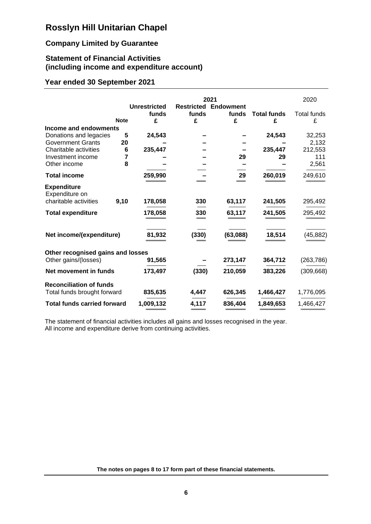## **Company Limited by Guarantee**

## **Statement of Financial Activities (including income and expenditure account)**

## **Year ended 30 September 2021**

|                                      |             | <b>Unrestricted</b><br>funds | funds | 2021<br><b>Restricted Endowment</b><br>funds | <b>Total funds</b> | 2020<br><b>Total funds</b> |
|--------------------------------------|-------------|------------------------------|-------|----------------------------------------------|--------------------|----------------------------|
|                                      | <b>Note</b> | £                            | £     | £                                            | £                  | £                          |
| Income and endowments                |             |                              |       |                                              |                    |                            |
| Donations and legacies               | 5           | 24,543                       |       |                                              | 24,543             | 32,253                     |
| <b>Government Grants</b>             | 20          |                              |       |                                              |                    | 2,132                      |
| Charitable activities                | 6           | 235,447                      |       |                                              | 235,447            | 212,553                    |
| Investment income                    | 7           |                              |       | 29                                           | 29                 | 111                        |
| Other income                         | 8           |                              |       |                                              |                    | 2,561                      |
| <b>Total income</b>                  |             | 259,990                      |       | 29                                           | 260,019            | 249,610                    |
| <b>Expenditure</b><br>Expenditure on |             |                              |       |                                              |                    |                            |
| charitable activities                | 9,10        | 178,058                      | 330   | 63,117                                       | 241,505            | 295,492                    |
| <b>Total expenditure</b>             |             | 178,058                      | 330   | 63,117                                       | 241,505            | 295,492                    |
| Net income/(expenditure)             |             | 81,932                       | (330) | (63,088)                                     | 18,514             | (45, 882)                  |
| Other recognised gains and losses    |             |                              |       |                                              |                    |                            |
| Other gains/(losses)                 |             | 91,565                       |       | 273,147                                      | 364,712            | (263, 786)                 |
| Net movement in funds                |             | 173,497                      | (330) | 210,059                                      | 383,226            | (309, 668)                 |
| <b>Reconciliation of funds</b>       |             |                              |       |                                              |                    |                            |
| Total funds brought forward          |             | 835,635                      | 4,447 | 626,345                                      | 1,466,427          | 1,776,095                  |
| <b>Total funds carried forward</b>   |             | 1,009,132                    | 4,117 | 836,404                                      | 1,849,653          | 1,466,427                  |

The statement of financial activities includes all gains and losses recognised in the year. All income and expenditure derive from continuing activities.

**The notes on pages 8 to 17 form part of these financial statements.**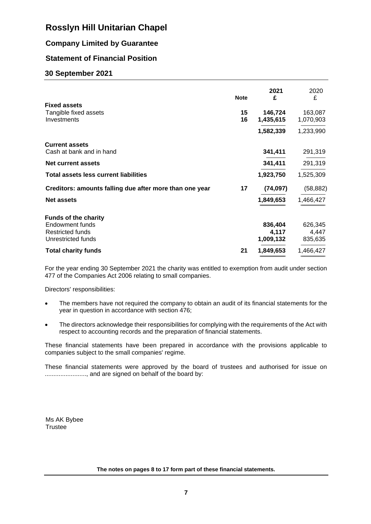## **Company Limited by Guarantee**

## **Statement of Financial Position**

### **30 September 2021**

|                                                         | <b>Note</b> | 2021<br>£ | 2020<br>£ |
|---------------------------------------------------------|-------------|-----------|-----------|
| <b>Fixed assets</b><br>Tangible fixed assets            | 15          | 146,724   | 163,087   |
| Investments                                             | 16          | 1,435,615 | 1,070,903 |
|                                                         |             | 1,582,339 | 1,233,990 |
| <b>Current assets</b>                                   |             |           |           |
| Cash at bank and in hand                                |             | 341,411   | 291,319   |
| <b>Net current assets</b>                               |             | 341,411   | 291,319   |
| <b>Total assets less current liabilities</b>            |             | 1,923,750 | 1,525,309 |
| Creditors: amounts falling due after more than one year | 17          | (74, 097) | (58, 882) |
| <b>Net assets</b>                                       |             | 1,849,653 | 1,466,427 |
| <b>Funds of the charity</b>                             |             |           |           |
| Endowment funds                                         |             | 836,404   | 626,345   |
| <b>Restricted funds</b>                                 |             | 4,117     | 4,447     |
| Unrestricted funds                                      |             | 1,009,132 | 835,635   |
| <b>Total charity funds</b>                              | 21          | 1,849,653 | 1,466,427 |

For the year ending 30 September 2021 the charity was entitled to exemption from audit under section 477 of the Companies Act 2006 relating to small companies.

Directors' responsibilities:

- The members have not required the company to obtain an audit of its financial statements for the year in question in accordance with section 476;
- The directors acknowledge their responsibilities for complying with the requirements of the Act with respect to accounting records and the preparation of financial statements.

These financial statements have been prepared in accordance with the provisions applicable to companies subject to the small companies' regime.

These financial statements were approved by the board of trustees and authorised for issue on ........................, and are signed on behalf of the board by:

Ms AK Bybee **Trustee** 

**The notes on pages 8 to 17 form part of these financial statements.**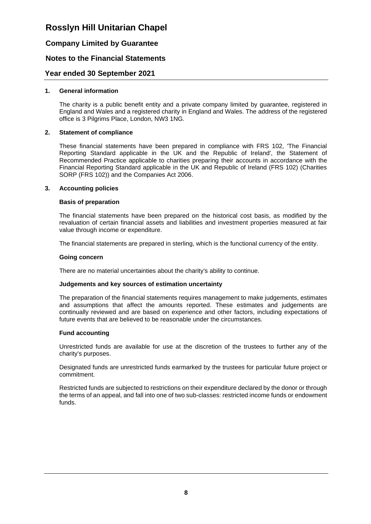### **Company Limited by Guarantee**

### **Notes to the Financial Statements**

### **Year ended 30 September 2021**

#### **1. General information**

The charity is a public benefit entity and a private company limited by guarantee, registered in England and Wales and a registered charity in England and Wales. The address of the registered office is 3 Pilgrims Place, London, NW3 1NG.

#### **2. Statement of compliance**

These financial statements have been prepared in compliance with FRS 102, 'The Financial Reporting Standard applicable in the UK and the Republic of Ireland', the Statement of Recommended Practice applicable to charities preparing their accounts in accordance with the Financial Reporting Standard applicable in the UK and Republic of Ireland (FRS 102) (Charities SORP (FRS 102)) and the Companies Act 2006.

#### **3. Accounting policies**

#### **Basis of preparation**

The financial statements have been prepared on the historical cost basis, as modified by the revaluation of certain financial assets and liabilities and investment properties measured at fair value through income or expenditure.

The financial statements are prepared in sterling, which is the functional currency of the entity.

#### **Going concern**

There are no material uncertainties about the charity's ability to continue.

#### **Judgements and key sources of estimation uncertainty**

The preparation of the financial statements requires management to make judgements, estimates and assumptions that affect the amounts reported. These estimates and judgements are continually reviewed and are based on experience and other factors, including expectations of future events that are believed to be reasonable under the circumstances.

#### **Fund accounting**

Unrestricted funds are available for use at the discretion of the trustees to further any of the charity's purposes.

Designated funds are unrestricted funds earmarked by the trustees for particular future project or commitment.

Restricted funds are subjected to restrictions on their expenditure declared by the donor or through the terms of an appeal, and fall into one of two sub-classes: restricted income funds or endowment funds.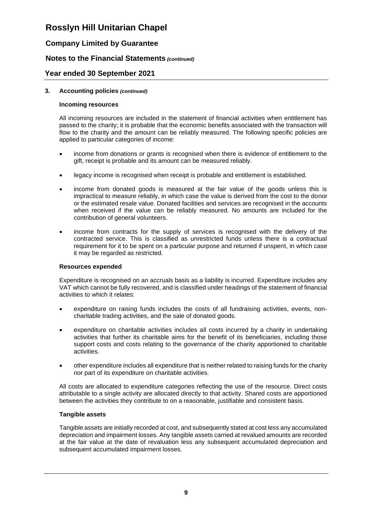## **Company Limited by Guarantee**

### **Notes to the Financial Statements** *(continued)*

### **Year ended 30 September 2021**

#### **3. Accounting policies** *(continued)*

#### **Incoming resources**

All incoming resources are included in the statement of financial activities when entitlement has passed to the charity; it is probable that the economic benefits associated with the transaction will flow to the charity and the amount can be reliably measured. The following specific policies are applied to particular categories of income:

- income from donations or grants is recognised when there is evidence of entitlement to the gift, receipt is probable and its amount can be measured reliably.
- legacy income is recognised when receipt is probable and entitlement is established.
- income from donated goods is measured at the fair value of the goods unless this is impractical to measure reliably, in which case the value is derived from the cost to the donor or the estimated resale value. Donated facilities and services are recognised in the accounts when received if the value can be reliably measured. No amounts are included for the contribution of general volunteers.
- income from contracts for the supply of services is recognised with the delivery of the contracted service. This is classified as unrestricted funds unless there is a contractual requirement for it to be spent on a particular purpose and returned if unspent, in which case it may be regarded as restricted.

#### **Resources expended**

Expenditure is recognised on an accruals basis as a liability is incurred. Expenditure includes any VAT which cannot be fully recovered, and is classified under headings of the statement of financial activities to which it relates:

- expenditure on raising funds includes the costs of all fundraising activities, events, noncharitable trading activities, and the sale of donated goods.
- expenditure on charitable activities includes all costs incurred by a charity in undertaking activities that further its charitable aims for the benefit of its beneficiaries, including those support costs and costs relating to the governance of the charity apportioned to charitable activities.
- other expenditure includes all expenditure that is neither related to raising funds for the charity nor part of its expenditure on charitable activities.

All costs are allocated to expenditure categories reflecting the use of the resource. Direct costs attributable to a single activity are allocated directly to that activity. Shared costs are apportioned between the activities they contribute to on a reasonable, justifiable and consistent basis.

#### **Tangible assets**

Tangible assets are initially recorded at cost, and subsequently stated at cost less any accumulated depreciation and impairment losses. Any tangible assets carried at revalued amounts are recorded at the fair value at the date of revaluation less any subsequent accumulated depreciation and subsequent accumulated impairment losses.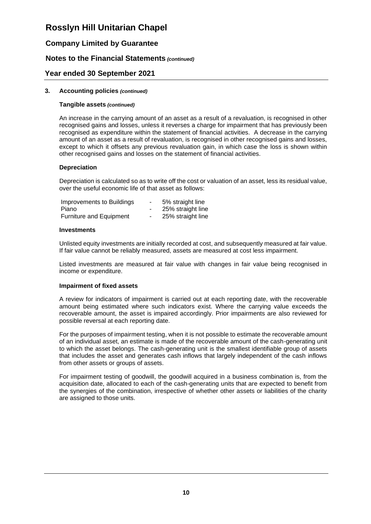## **Company Limited by Guarantee**

### **Notes to the Financial Statements** *(continued)*

### **Year ended 30 September 2021**

#### **3. Accounting policies** *(continued)*

#### **Tangible assets** *(continued)*

An increase in the carrying amount of an asset as a result of a revaluation, is recognised in other recognised gains and losses, unless it reverses a charge for impairment that has previously been recognised as expenditure within the statement of financial activities. A decrease in the carrying amount of an asset as a result of revaluation, is recognised in other recognised gains and losses, except to which it offsets any previous revaluation gain, in which case the loss is shown within other recognised gains and losses on the statement of financial activities.

#### **Depreciation**

Depreciation is calculated so as to write off the cost or valuation of an asset, less its residual value, over the useful economic life of that asset as follows:

| Improvements to Buildings      | ۰. | 5% straight line  |
|--------------------------------|----|-------------------|
| Piano                          | н. | 25% straight line |
| <b>Furniture and Equipment</b> |    | 25% straight line |

#### **Investments**

Unlisted equity investments are initially recorded at cost, and subsequently measured at fair value. If fair value cannot be reliably measured, assets are measured at cost less impairment.

Listed investments are measured at fair value with changes in fair value being recognised in income or expenditure.

#### **Impairment of fixed assets**

A review for indicators of impairment is carried out at each reporting date, with the recoverable amount being estimated where such indicators exist. Where the carrying value exceeds the recoverable amount, the asset is impaired accordingly. Prior impairments are also reviewed for possible reversal at each reporting date.

For the purposes of impairment testing, when it is not possible to estimate the recoverable amount of an individual asset, an estimate is made of the recoverable amount of the cash-generating unit to which the asset belongs. The cash-generating unit is the smallest identifiable group of assets that includes the asset and generates cash inflows that largely independent of the cash inflows from other assets or groups of assets.

For impairment testing of goodwill, the goodwill acquired in a business combination is, from the acquisition date, allocated to each of the cash-generating units that are expected to benefit from the synergies of the combination, irrespective of whether other assets or liabilities of the charity are assigned to those units.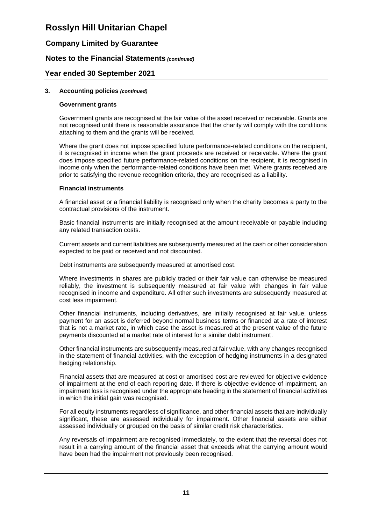## **Company Limited by Guarantee**

### **Notes to the Financial Statements** *(continued)*

### **Year ended 30 September 2021**

#### **3. Accounting policies** *(continued)*

#### **Government grants**

Government grants are recognised at the fair value of the asset received or receivable. Grants are not recognised until there is reasonable assurance that the charity will comply with the conditions attaching to them and the grants will be received.

Where the grant does not impose specified future performance-related conditions on the recipient, it is recognised in income when the grant proceeds are received or receivable. Where the grant does impose specified future performance-related conditions on the recipient, it is recognised in income only when the performance-related conditions have been met. Where grants received are prior to satisfying the revenue recognition criteria, they are recognised as a liability.

#### **Financial instruments**

A financial asset or a financial liability is recognised only when the charity becomes a party to the contractual provisions of the instrument.

Basic financial instruments are initially recognised at the amount receivable or payable including any related transaction costs.

Current assets and current liabilities are subsequently measured at the cash or other consideration expected to be paid or received and not discounted.

Debt instruments are subsequently measured at amortised cost.

Where investments in shares are publicly traded or their fair value can otherwise be measured reliably, the investment is subsequently measured at fair value with changes in fair value recognised in income and expenditure. All other such investments are subsequently measured at cost less impairment.

Other financial instruments, including derivatives, are initially recognised at fair value, unless payment for an asset is deferred beyond normal business terms or financed at a rate of interest that is not a market rate, in which case the asset is measured at the present value of the future payments discounted at a market rate of interest for a similar debt instrument.

Other financial instruments are subsequently measured at fair value, with any changes recognised in the statement of financial activities, with the exception of hedging instruments in a designated hedging relationship.

Financial assets that are measured at cost or amortised cost are reviewed for objective evidence of impairment at the end of each reporting date. If there is objective evidence of impairment, an impairment loss is recognised under the appropriate heading in the statement of financial activities in which the initial gain was recognised.

For all equity instruments regardless of significance, and other financial assets that are individually significant, these are assessed individually for impairment. Other financial assets are either assessed individually or grouped on the basis of similar credit risk characteristics.

Any reversals of impairment are recognised immediately, to the extent that the reversal does not result in a carrying amount of the financial asset that exceeds what the carrying amount would have been had the impairment not previously been recognised.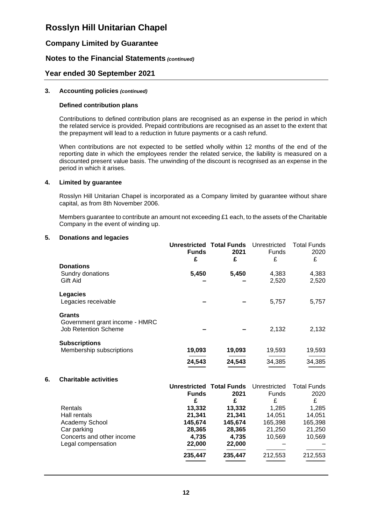## **Company Limited by Guarantee**

### **Notes to the Financial Statements** *(continued)*

### **Year ended 30 September 2021**

#### **3. Accounting policies** *(continued)*

#### **Defined contribution plans**

Contributions to defined contribution plans are recognised as an expense in the period in which the related service is provided. Prepaid contributions are recognised as an asset to the extent that the prepayment will lead to a reduction in future payments or a cash refund.

When contributions are not expected to be settled wholly within 12 months of the end of the reporting date in which the employees render the related service, the liability is measured on a discounted present value basis. The unwinding of the discount is recognised as an expense in the period in which it arises.

#### **4. Limited by guarantee**

Rosslyn Hill Unitarian Chapel is incorporated as a Company limited by guarantee without share capital, as from 8th November 2006.

Members guarantee to contribute an amount not exceeding £1 each, to the assets of the Charitable Company in the event of winding up.

#### **5. Donations and legacies**

| <b>Funds</b> | 2021   | Unrestricted<br><b>Funds</b>         | <b>Total Funds</b><br>2020<br>£ |
|--------------|--------|--------------------------------------|---------------------------------|
| 5,450        | 5,450  | 4,383<br>2,520                       | 4,383<br>2,520                  |
|              |        | 5,757                                | 5,757                           |
|              |        | 2,132                                | 2,132                           |
| 19,093       | 19,093 | 19,593                               | 19,593                          |
| 24,543       | 24,543 | 34,385                               | 34,385                          |
|              | £      | <b>Unrestricted Total Funds</b><br>£ | £                               |

## **6. Charitable activities**

|                           |              | <b>Unrestricted Total Funds</b> | Unrestricted | <b>Total Funds</b> |
|---------------------------|--------------|---------------------------------|--------------|--------------------|
|                           | <b>Funds</b> | 2021                            | Funds        | 2020               |
|                           | £            | £                               | £            | £                  |
| Rentals                   | 13,332       | 13,332                          | 1,285        | 1,285              |
| Hall rentals              | 21,341       | 21,341                          | 14,051       | 14,051             |
| Academy School            | 145,674      | 145,674                         | 165,398      | 165,398            |
| Car parking               | 28,365       | 28,365                          | 21,250       | 21,250             |
| Concerts and other income | 4,735        | 4,735                           | 10,569       | 10,569             |
| Legal compensation        | 22,000       | 22,000                          |              |                    |
|                           | 235,447      | 235,447                         | 212,553      | 212,553            |
|                           |              |                                 |              |                    |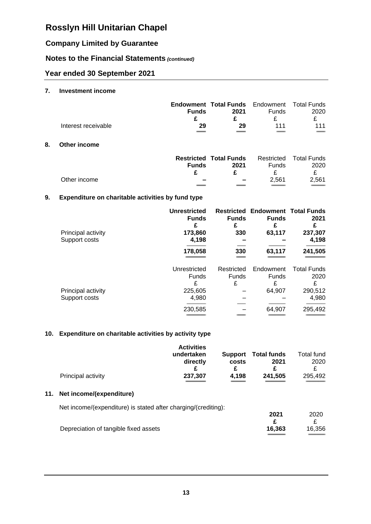## **Company Limited by Guarantee**

## **Notes to the Financial Statements** *(continued)*

## **Year ended 30 September 2021**

### **7. Investment income**

|                     | <b>Funds</b>        | <b>Endowment Total Funds</b> Endowment Total Funds<br>2021 | <b>Funds</b> | 2020 |
|---------------------|---------------------|------------------------------------------------------------|--------------|------|
| Interest receivable | 29                  | 29                                                         | 111          | 111  |
|                     | $\hspace{0.05cm} =$ |                                                            | ______       |      |

## **8. Other income**

**11.** 

|              | <b>Funds</b>             | <b>Restricted Total Funds</b><br>2021 | Funds | Restricted Total Funds<br>2020 |
|--------------|--------------------------|---------------------------------------|-------|--------------------------------|
|              |                          |                                       |       |                                |
| Other income | $\overline{\phantom{a}}$ | $\overline{\phantom{0}}$              | 2.561 | 2.561                          |
|              |                          |                                       |       |                                |

### **9. Expenditure on charitable activities by fund type**

| Principal activity<br>Support costs | <b>Unrestricted</b><br><b>Funds</b><br>£<br>173,860<br>4,198 | <b>Funds</b><br>330             | <b>Restricted Endowment Total Funds</b><br><b>Funds</b><br>£<br>63,117 | 2021<br>£<br>237,307<br>4,198              |
|-------------------------------------|--------------------------------------------------------------|---------------------------------|------------------------------------------------------------------------|--------------------------------------------|
|                                     | 178,058                                                      | 330                             | 63,117                                                                 | 241,505                                    |
| Principal activity                  | Unrestricted<br><b>Funds</b><br>£<br>225,605                 | Restricted<br><b>Funds</b><br>£ | Endowment<br><b>Funds</b><br>£<br>64,907                               | <b>Total Funds</b><br>2020<br>£<br>290,512 |
| Support costs                       | 4,980<br>230,585                                             |                                 | 64,907                                                                 | 4,980<br>295,492                           |

### **10. Expenditure on charitable activities by activity type**

| Principal activity                                             | <b>Activities</b><br>undertaken<br>directly<br>£<br>237,307 | <b>Support</b><br>costs<br>£<br>4,198 | <b>Total funds</b><br>2021<br>£<br>241,505 | Total fund<br>2020<br>£<br>295,492 |
|----------------------------------------------------------------|-------------------------------------------------------------|---------------------------------------|--------------------------------------------|------------------------------------|
| Net income/(expenditure)                                       |                                                             |                                       |                                            |                                    |
| Net income/(expenditure) is stated after charging/(crediting): |                                                             |                                       |                                            |                                    |
| Depreciation of tangible fixed assets                          |                                                             |                                       | 2021<br>£<br>16,363                        | 2020<br>£<br>16,356                |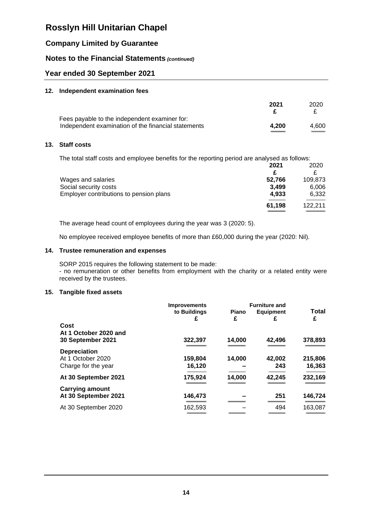## **Company Limited by Guarantee**

### **Notes to the Financial Statements** *(continued)*

### **Year ended 30 September 2021**

#### **12. Independent examination fees**

| 4.600 |
|-------|
| 4.200 |

#### **13. Staff costs**

The total staff costs and employee benefits for the reporting period are analysed as follows:

|                                                                                        | 2021   | 2020    |
|----------------------------------------------------------------------------------------|--------|---------|
|                                                                                        | £      |         |
|                                                                                        | 52,766 | 109,873 |
|                                                                                        | 3.499  | 6,006   |
| Wages and salaries<br>Social security costs<br>Employer contributions to pension plans | 4.933  | 6,332   |
|                                                                                        | 61,198 | 122.211 |
|                                                                                        |        |         |

The average head count of employees during the year was 3 (2020: 5).

No employee received employee benefits of more than £60,000 during the year (2020: Nil).

### **14. Trustee remuneration and expenses**

SORP 2015 requires the following statement to be made: - no remuneration or other benefits from employment with the charity or a related entity were received by the trustees.

#### **15. Tangible fixed assets**

|                        | <b>Improvements</b> | <b>Furniture and</b> |                  |         |
|------------------------|---------------------|----------------------|------------------|---------|
|                        | to Buildings        | <b>Piano</b>         | <b>Equipment</b> | Total   |
|                        | £                   | £                    | £                | £       |
| Cost                   |                     |                      |                  |         |
| At 1 October 2020 and  |                     |                      |                  |         |
| 30 September 2021      | 322,397             | 14,000               | 42,496           | 378,893 |
| <b>Depreciation</b>    |                     |                      |                  |         |
| At 1 October 2020      | 159,804             | 14,000               | 42,002           | 215,806 |
| Charge for the year    | 16,120              |                      | 243              | 16,363  |
|                        |                     |                      |                  |         |
| At 30 September 2021   | 175,924             | 14,000               | 42,245           | 232,169 |
|                        |                     |                      |                  |         |
| <b>Carrying amount</b> |                     |                      |                  |         |
| At 30 September 2021   | 146,473             |                      | 251              | 146,724 |
| At 30 September 2020   | 162,593             |                      | 494              | 163,087 |
|                        |                     |                      |                  |         |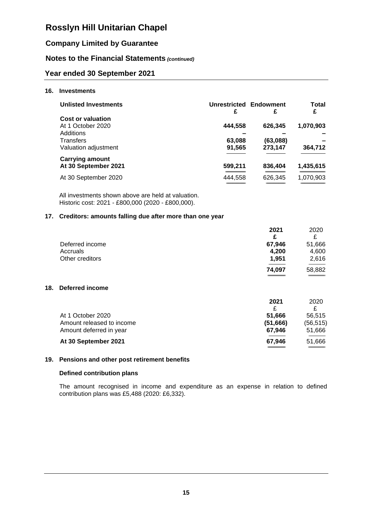## **Company Limited by Guarantee**

## **Notes to the Financial Statements** *(continued)*

### **Year ended 30 September 2021**

#### **16. Investments**

| <b>Unlisted Investments</b> | <b>Unrestricted Endowment</b><br>£ | £        | Total<br>£ |
|-----------------------------|------------------------------------|----------|------------|
| <b>Cost or valuation</b>    |                                    |          |            |
| At 1 October 2020           | 444,558                            | 626,345  | 1,070,903  |
| Additions                   |                                    |          |            |
| Transfers                   | 63,088                             | (63,088) |            |
| Valuation adjustment        | 91,565                             | 273,147  | 364,712    |
| <b>Carrying amount</b>      |                                    |          |            |
| At 30 September 2021        | 599,211                            | 836,404  | 1,435,615  |
| At 30 September 2020        | 444,558                            | 626,345  | 1,070,903  |
|                             |                                    |          |            |

All investments shown above are held at valuation. Historic cost: 2021 - £800,000 (2020 - £800,000).

#### **17. Creditors: amounts falling due after more than one year**

|                           | 2021     | 2020     |
|---------------------------|----------|----------|
|                           | £        | £        |
| Deferred income           | 67,946   | 51,666   |
| Accruals                  | 4,200    | 4,600    |
| Other creditors           | 1,951    | 2,616    |
|                           | 74,097   | 58,882   |
| <b>Deferred income</b>    |          |          |
|                           | 2021     | 2020     |
|                           | £        | £        |
| At 1 October 2020         | 51,666   | 56,515   |
| Amount released to income | (51,666) | (56,515) |
| Amount deferred in year   | 67,946   | 51,666   |

#### **At 30 September 2021 67,946** 51,666

**18. Deferred income**

#### **19. Pensions and other post retirement benefits**

#### **Defined contribution plans**

The amount recognised in income and expenditure as an expense in relation to defined contribution plans was £5,488 (2020: £6,332).

**---------------------------- ----------------------------**

**============================** ============================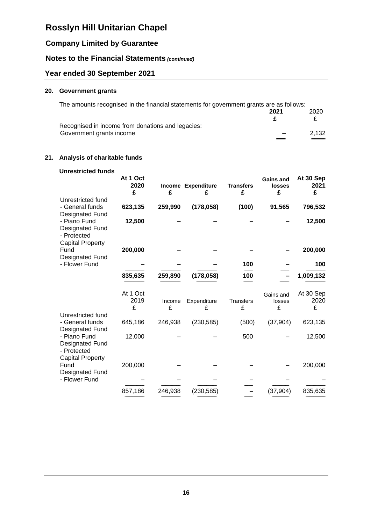## **Company Limited by Guarantee**

## **Notes to the Financial Statements** *(continued)*

## **Year ended 30 September 2021**

## **20. Government grants**

| The amounts recognised in the financial statements for government grants are as follows: |                          |       |
|------------------------------------------------------------------------------------------|--------------------------|-------|
|                                                                                          | 2021                     | 2020  |
|                                                                                          |                          |       |
| Recognised in income from donations and legacies:                                        |                          |       |
| Government grants income                                                                 | $\overline{\phantom{a}}$ | 2.132 |
|                                                                                          |                          |       |

### **21. Analysis of charitable funds**

| <b>Unrestricted funds</b>                                                                           | At 1 Oct<br>2020<br>£ | £           | Income Expenditure<br>£ | <b>Transfers</b><br>£ | Gains and<br><b>losses</b><br>£ | At 30 Sep<br>2021<br>£ |
|-----------------------------------------------------------------------------------------------------|-----------------------|-------------|-------------------------|-----------------------|---------------------------------|------------------------|
| Unrestricted fund<br>- General funds                                                                | 623,135               | 259,990     | (178, 058)              | (100)                 | 91,565                          | 796,532                |
| Designated Fund<br>- Piano Fund<br><b>Designated Fund</b><br>- Protected<br><b>Capital Property</b> | 12,500                |             |                         |                       |                                 | 12,500                 |
| Fund                                                                                                | 200,000               |             |                         |                       |                                 | 200,000                |
| <b>Designated Fund</b><br>- Flower Fund                                                             |                       |             |                         | 100                   |                                 | 100                    |
|                                                                                                     | 835,635               | 259,890     | (178, 058)              | 100                   |                                 | 1,009,132              |
|                                                                                                     | At 1 Oct<br>2019<br>£ | Income<br>£ | Expenditure<br>£        | <b>Transfers</b><br>£ | Gains and<br>losses<br>£        | At 30 Sep<br>2020<br>£ |
| Unrestricted fund<br>- General funds<br><b>Designated Fund</b>                                      | 645,186               | 246,938     | (230, 585)              | (500)                 | (37, 904)                       | 623,135                |
| - Piano Fund<br>Designated Fund<br>- Protected                                                      | 12,000                |             |                         | 500                   |                                 | 12,500                 |
| <b>Capital Property</b><br>Fund<br><b>Designated Fund</b>                                           | 200,000               |             |                         |                       |                                 | 200,000                |
| - Flower Fund                                                                                       |                       |             |                         |                       |                                 |                        |
|                                                                                                     | 857,186               | 246,938     | (230, 585)              |                       | (37, 904)                       | 835,635                |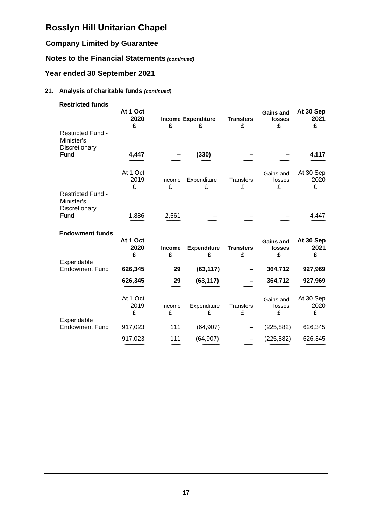## **Company Limited by Guarantee**

## **Notes to the Financial Statements** *(continued)*

## **Year ended 30 September 2021**

## **21. Analysis of charitable funds** *(continued)*

| <b>Restricted funds</b>                                         | At 1 Oct<br>2020<br>£ | £           | <b>Income Expenditure</b><br>£ | <b>Transfers</b><br>£ | <b>Gains and</b><br><b>losses</b><br>£ | At 30 Sep<br>2021<br>£ |
|-----------------------------------------------------------------|-----------------------|-------------|--------------------------------|-----------------------|----------------------------------------|------------------------|
| <b>Restricted Fund -</b><br>Minister's<br>Discretionary<br>Fund | 4,447                 |             | (330)                          |                       |                                        | 4,117                  |
|                                                                 | At 1 Oct<br>2019<br>£ | Income<br>£ | Expenditure<br>£               | Transfers<br>£        | Gains and<br>losses<br>£               | At 30 Sep<br>2020<br>£ |
| Restricted Fund -<br>Minister's<br>Discretionary<br>Fund        | 1,886                 | 2,561       |                                |                       |                                        | 4,447                  |
| <b>Endowment funds</b>                                          |                       |             |                                |                       |                                        |                        |
| Expendable                                                      | At 1 Oct<br>2020<br>£ | Income<br>£ | <b>Expenditure</b><br>£        | <b>Transfers</b><br>£ | <b>Gains and</b><br><b>losses</b><br>£ | At 30 Sep<br>2021<br>£ |
| <b>Endowment Fund</b>                                           | 626,345               | 29          | (63, 117)                      |                       | 364,712                                | 927,969                |
|                                                                 | 626,345               | 29          | (63, 117)                      |                       | 364,712                                | 927,969                |
| Expendable                                                      | At 1 Oct<br>2019<br>£ | Income<br>£ | Expenditure<br>£               | Transfers<br>£        | Gains and<br>losses<br>£               | At 30 Sep<br>2020<br>£ |
| <b>Endowment Fund</b>                                           | 917,023               | 111         | (64, 907)                      |                       | (225, 882)                             | 626,345                |
|                                                                 | 917,023               | 111         | (64, 907)                      |                       | (225, 882)                             | 626,345                |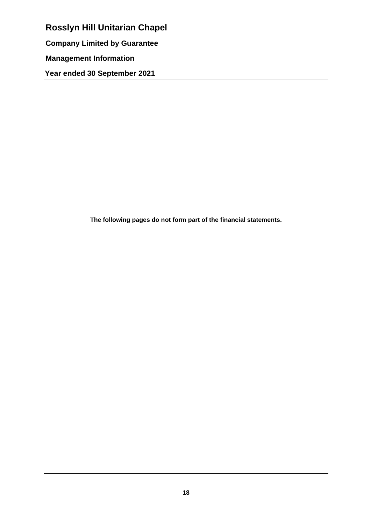**Rosslyn Hill Unitarian Chapel Company Limited by Guarantee Management Information Year ended 30 September 2021**

**The following pages do not form part of the financial statements.**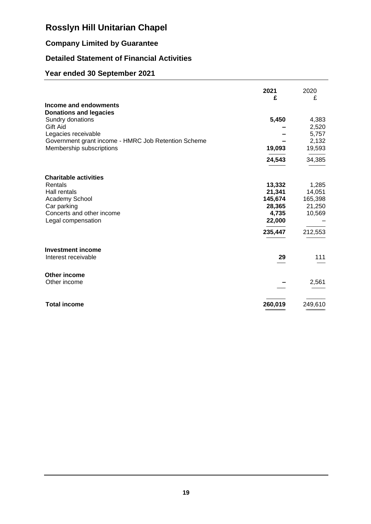# **Company Limited by Guarantee**

## **Detailed Statement of Financial Activities**

## **Year ended 30 September 2021**

|                                                        | 2021<br>£         | 2020<br>£         |
|--------------------------------------------------------|-------------------|-------------------|
| Income and endowments<br><b>Donations and legacies</b> |                   |                   |
| Sundry donations                                       | 5,450             | 4,383             |
| Gift Aid<br>Legacies receivable                        |                   | 2,520<br>5,757    |
| Government grant income - HMRC Job Retention Scheme    |                   | 2,132             |
| Membership subscriptions                               | 19,093            | 19,593            |
|                                                        | 24,543            | 34,385            |
| <b>Charitable activities</b>                           |                   |                   |
| Rentals                                                | 13,332            | 1,285             |
| Hall rentals                                           | 21,341            | 14,051            |
| Academy School<br>Car parking                          | 145,674<br>28,365 | 165,398<br>21,250 |
| Concerts and other income                              | 4,735             | 10,569            |
| Legal compensation                                     | 22,000            |                   |
|                                                        | 235,447           | 212,553           |
| <b>Investment income</b>                               |                   |                   |
| Interest receivable                                    | 29                | 111               |
| Other income                                           |                   |                   |
| Other income                                           |                   | 2,561             |
| <b>Total income</b>                                    | 260,019           | 249,610           |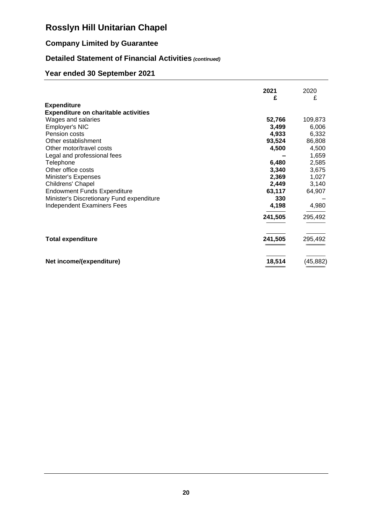## **Company Limited by Guarantee**

## **Detailed Statement of Financial Activities** *(continued)*

## **Year ended 30 September 2021**

|                                             | 2021    | 2020      |
|---------------------------------------------|---------|-----------|
| <b>Expenditure</b>                          | £       | £         |
| <b>Expenditure on charitable activities</b> |         |           |
| Wages and salaries                          | 52,766  | 109,873   |
| Employer's NIC                              | 3,499   | 6,006     |
| Pension costs                               | 4,933   | 6,332     |
| Other establishment                         | 93,524  | 86,808    |
| Other motor/travel costs                    | 4,500   | 4,500     |
| Legal and professional fees                 |         | 1,659     |
| Telephone                                   | 6,480   | 2,585     |
| Other office costs                          | 3,340   | 3,675     |
| Minister's Expenses                         | 2,369   | 1,027     |
| Childrens' Chapel                           | 2,449   | 3,140     |
| <b>Endowment Funds Expenditure</b>          | 63,117  | 64,907    |
| Minister's Discretionary Fund expenditure   | 330     |           |
| <b>Independent Examiners Fees</b>           | 4,198   | 4,980     |
|                                             | 241,505 | 295,492   |
| <b>Total expenditure</b>                    | 241,505 | 295,492   |
| Net income/(expenditure)                    | 18,514  | (45, 882) |